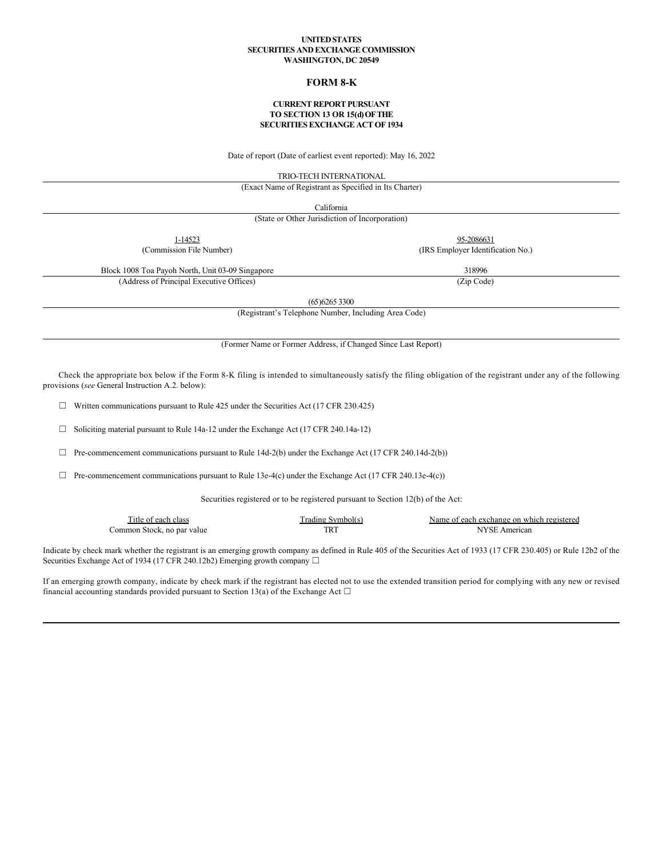#### **UNITED STATES SECURITIES AND EXCHANGE COMMISSION WASHINGTON, DC 20549**

## **FORM 8‑K**

## **CURRENT REPORT PURSUANT TO SECTION 13 OR 15(d) OF THE SECURITIES EXCHANGE ACT OF 1934**

Date of report (Date of earliest event reported): May 16, 2022

TRIO-TECH INTERNATIONAL

(Exact Name of Registrant as Specified in Its Charter)

California

(State or Other Jurisdiction of Incorporation) 1-14523 95-2086631 (Commission File Number) (IRS Employer Identification No.)

Block 1008 Toa Payoh North, Unit 03-09 Singapore 318996 (Address of Principal Executive Offices) (Zip Code)

(65)6265 3300

(Registrant's Telephone Number, Including Area Code)

(Former Name or Former Address, if Changed Since Last Report)

Check the appropriate box below if the Form 8-K filing is intended to simultaneously satisfy the filing obligation of the registrant under any of the following provisions (*see* General Instruction A.2. below):

☐ Written communications pursuant to Rule 425 under the Securities Act (17 CFR 230.425)

☐ Soliciting material pursuant to Rule 14a-12 under the Exchange Act (17 CFR 240.14a-12)

☐ Pre-commencement communications pursuant to Rule 14d-2(b) under the Exchange Act (17 CFR 240.14d-2(b))

☐ Pre-commencement communications pursuant to Rule 13e-4(c) under the Exchange Act (17 CFR 240.13e-4(c))

Securities registered or to be registered pursuant to Section 12(b) of the Act:

| Title of each class        | : Symbol(s)<br>rading: | Name of each exchange on which registered |
|----------------------------|------------------------|-------------------------------------------|
| Common Stock, no par value | TRI                    | NYSE American                             |

Indicate by check mark whether the registrant is an emerging growth company as defined in Rule 405 of the Securities Act of 1933 (17 CFR 230.405) or Rule 12b2 of the Securities Exchange Act of 1934 (17 CFR 240.12b2) Emerging growth company □

If an emerging growth company, indicate by check mark if the registrant has elected not to use the extended transition period for complying with any new or revised financial accounting standards provided pursuant to Section 13(a) of the Exchange Act  $\Box$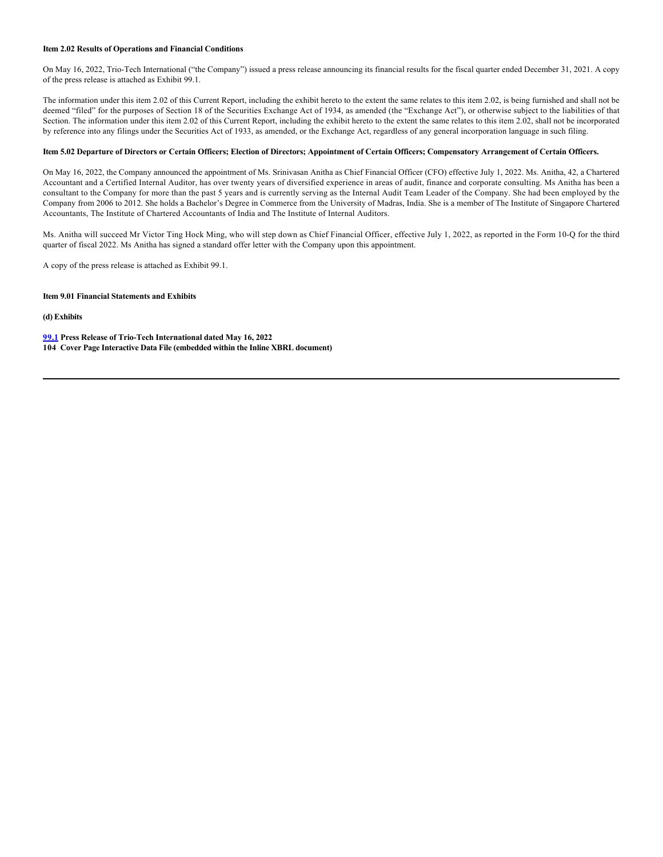#### **Item 2.02 Results of Operations and Financial Conditions**

On May 16, 2022, Trio-Tech International ("the Company") issued a press release announcing its financial results for the fiscal quarter ended December 31, 2021. A copy of the press release is attached as Exhibit 99.1.

The information under this item 2.02 of this Current Report, including the exhibit hereto to the extent the same relates to this item 2.02, is being furnished and shall not be deemed "filed" for the purposes of Section 18 of the Securities Exchange Act of 1934, as amended (the "Exchange Act"), or otherwise subject to the liabilities of that Section. The information under this item 2.02 of this Current Report, including the exhibit hereto to the extent the same relates to this item 2.02, shall not be incorporated by reference into any filings under the Securities Act of 1933, as amended, or the Exchange Act, regardless of any general incorporation language in such filing.

#### **Item 5.02 Departure of Directors or Certain Officers; Election of Directors; Appointment of Certain Officers; Compensatory Arrangement of Certain Officers.**

On May 16, 2022, the Company announced the appointment of Ms. Srinivasan Anitha as Chief Financial Officer (CFO) effective July 1, 2022. Ms. Anitha, 42, a Chartered Accountant and a Certified Internal Auditor, has over twenty years of diversified experience in areas of audit, finance and corporate consulting. Ms Anitha has been a consultant to the Company for more than the past 5 years and is currently serving as the Internal Audit Team Leader of the Company. She had been employed by the Company from 2006 to 2012. She holds a Bachelor's Degree in Commerce from the University of Madras, India. She is a member of The Institute of Singapore Chartered Accountants, The Institute of Chartered Accountants of India and The Institute of Internal Auditors.

Ms. Anitha will succeed Mr Victor Ting Hock Ming, who will step down as Chief Financial Officer, effective July 1, 2022, as reported in the Form 10-Q for the third quarter of fiscal 2022. Ms Anitha has signed a standard offer letter with the Company upon this appointment.

A copy of the press release is attached as Exhibit 99.1.

#### **Item 9.01 Financial Statements and Exhibits**

#### **(d) Exhibits**

**[99.1](ex_376136.htm) Press Release of Trio-Tech International dated May 16, 2022 104 Cover Page Interactive Data File (embedded within the Inline XBRL document)**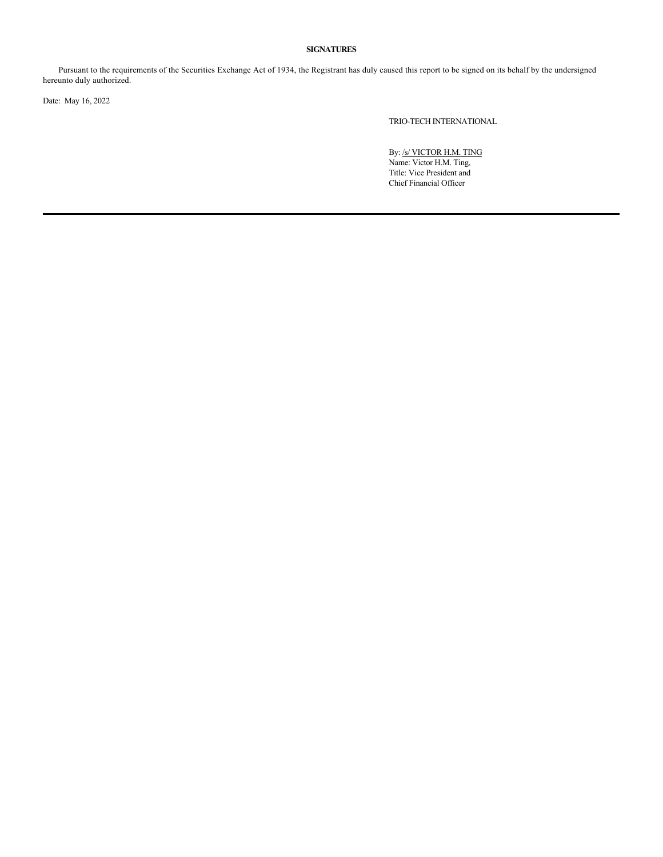# **SIGNATURES**

Pursuant to the requirements of the Securities Exchange Act of 1934, the Registrant has duly caused this report to be signed on its behalf by the undersigned hereunto duly authorized.

Date: May 16, 2022

TRIO-TECH INTERNATIONAL

By: /s/ VICTOR H.M. TING Name: Victor H.M. Ting, Title: Vice President and Chief Financial Officer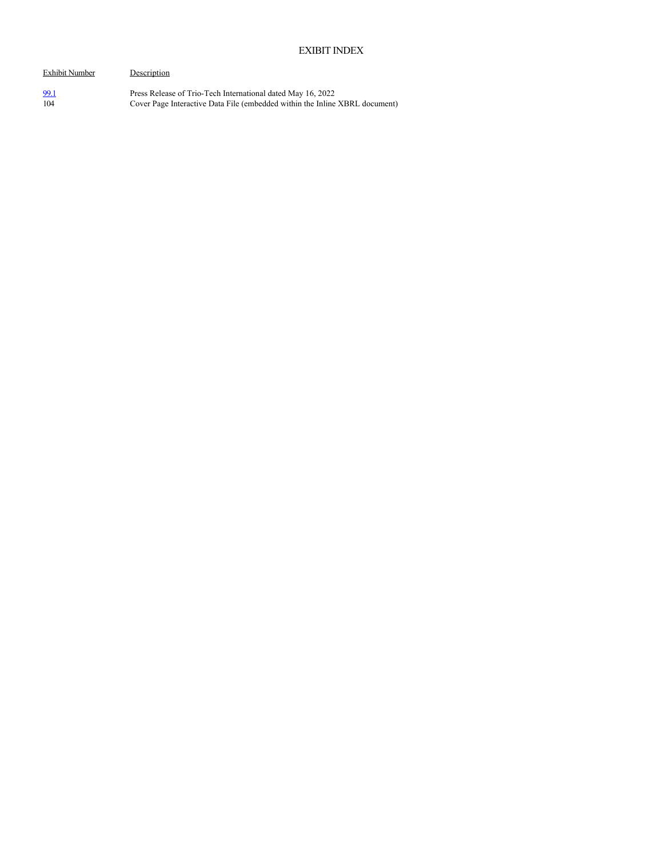# EXIBIT INDEX

| Exhibit Number | Description                                                                 |
|----------------|-----------------------------------------------------------------------------|
| 99.1           | Press Release of Trio-Tech International dated May 16, 2022                 |
| -104           | Cover Page Interactive Data File (embedded within the Inline XBRL document) |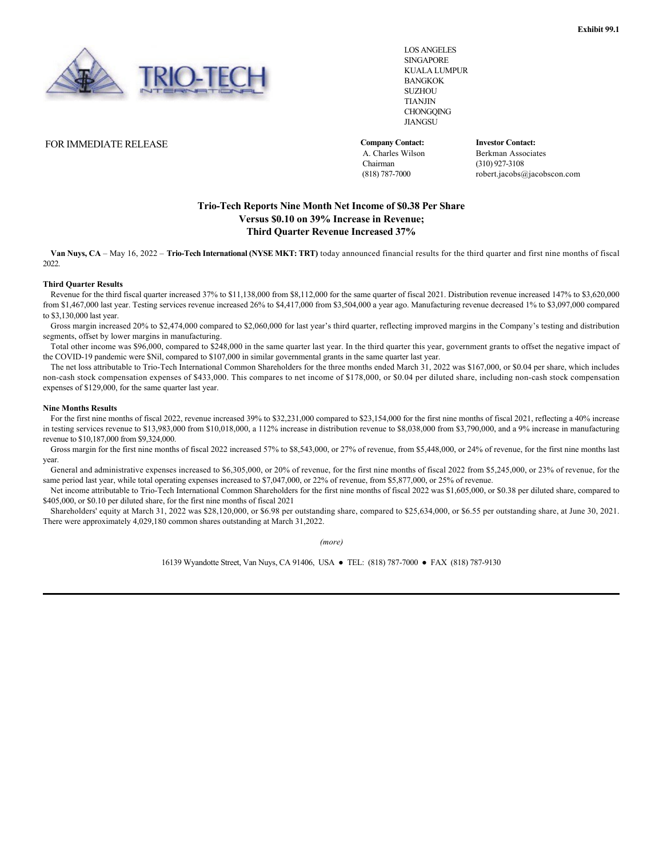

LOS ANGELES **SINGAPORE** KUALA LUMPUR **BANGKOK** SUZHOU TIANJIN **CHONGQING** JIANGSU

**FOR IMMEDIATE RELEASE COMPANY CONTACT:** Company Contact:

 A. Charles Wilson Chairman (818) 787-7000

**Investor Contact:** Berkman Associates (310) 927-3108 robert.jacobs@jacobscon.com

# **Trio-Tech Reports Nine Month Net Income of \$0.38 Per Share Versus \$0.10 on 39% Increase in Revenue; Third Quarter Revenue Increased 37%**

**Van Nuys, CA** – May 16, 2022 – **Trio-Tech International (NYSE MKT: TRT)** today announced financial results for the third quarter and first nine months of fiscal 2022.

## **Third Quarter Results**

Revenue for the third fiscal quarter increased 37% to \$11,138,000 from \$8,112,000 for the same quarter of fiscal 2021. Distribution revenue increased 147% to \$3,620,000 from \$1,467,000 last year. Testing services revenue increased 26% to \$4,417,000 from \$3,504,000 a year ago. Manufacturing revenue decreased 1% to \$3,097,000 compared to \$3,130,000 last year.

Gross margin increased 20% to \$2,474,000 compared to \$2,060,000 for last year's third quarter, reflecting improved margins in the Company's testing and distribution segments, offset by lower margins in manufacturing.

Total other income was \$96,000, compared to \$248,000 in the same quarter last year. In the third quarter this year, government grants to offset the negative impact of the COVID-19 pandemic were \$Nil, compared to \$107,000 in similar governmental grants in the same quarter last year.

The net loss attributable to Trio-Tech International Common Shareholders for the three months ended March 31, 2022 was \$167,000, or \$0.04 per share, which includes non-cash stock compensation expenses of \$433,000. This compares to net income of \$178,000, or \$0.04 per diluted share, including non-cash stock compensation expenses of \$129,000, for the same quarter last year.

#### **Nine Months Results**

For the first nine months of fiscal 2022, revenue increased 39% to \$32,231,000 compared to \$23,154,000 for the first nine months of fiscal 2021, reflecting a 40% increase in testing services revenue to \$13,983,000 from \$10,018,000, a 112% increase in distribution revenue to \$8,038,000 from \$3,790,000, and a 9% increase in manufacturing revenue to \$10,187,000 from \$9,324,000.

Gross margin for the first nine months of fiscal 2022 increased 57% to \$8,543,000, or 27% of revenue, from \$5,448,000, or 24% of revenue, for the first nine months last year.

General and administrative expenses increased to \$6,305,000, or 20% of revenue, for the first nine months of fiscal 2022 from \$5,245,000, or 23% of revenue, for the same period last year, while total operating expenses increased to \$7,047,000, or 22% of revenue, from \$5,877,000, or 25% of revenue.

Net income attributable to Trio-Tech International Common Shareholders for the first nine months of fiscal 2022 was \$1,605,000, or \$0.38 per diluted share, compared to \$405,000, or \$0.10 per diluted share, for the first nine months of fiscal 2021

Shareholders' equity at March 31, 2022 was \$28,120,000, or \$6.98 per outstanding share, compared to \$25,634,000, or \$6.55 per outstanding share, at June 30, 2021. There were approximately 4,029,180 common shares outstanding at March 31,2022.

*(more)*

16139 Wyandotte Street, Van Nuys, CA 91406, USA ● TEL: (818) 787-7000 ● FAX (818) 787-9130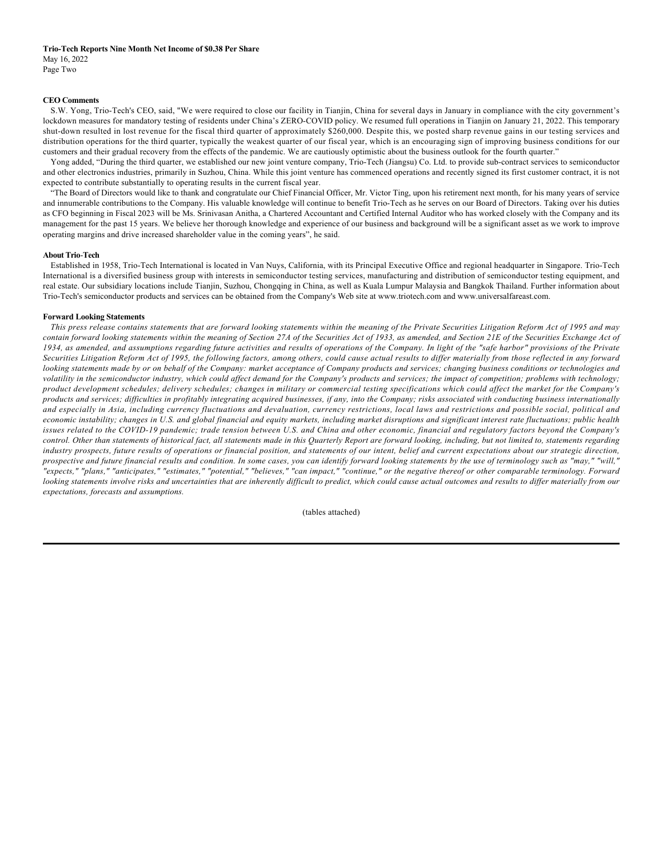#### **CEO Comments**

S.W. Yong, Trio-Tech's CEO, said, "We were required to close our facility in Tianjin, China for several days in January in compliance with the city government's lockdown measures for mandatory testing of residents under China's ZERO-COVID policy. We resumed full operations in Tianjin on January 21, 2022. This temporary shut-down resulted in lost revenue for the fiscal third quarter of approximately \$260,000. Despite this, we posted sharp revenue gains in our testing services and distribution operations for the third quarter, typically the weakest quarter of our fiscal year, which is an encouraging sign of improving business conditions for our customers and their gradual recovery from the effects of the pandemic. We are cautiously optimistic about the business outlook for the fourth quarter."

Yong added, "During the third quarter, we established our new joint venture company, Trio-Tech (Jiangsu) Co. Ltd. to provide sub-contract services to semiconductor and other electronics industries, primarily in Suzhou, China. While this joint venture has commenced operations and recently signed its first customer contract, it is not expected to contribute substantially to operating results in the current fiscal year.

"The Board of Directors would like to thank and congratulate our Chief Financial Officer, Mr. Victor Ting, upon his retirement next month, for his many years of service and innumerable contributions to the Company. His valuable knowledge will continue to benefit Trio-Tech as he serves on our Board of Directors. Taking over his duties as CFO beginning in Fiscal 2023 will be Ms. Srinivasan Anitha, a Chartered Accountant and Certified Internal Auditor who has worked closely with the Company and its management for the past 15 years. We believe her thorough knowledge and experience of our business and background will be a significant asset as we work to improve operating margins and drive increased shareholder value in the coming years", he said.

#### **About Trio**‑**Tech**

Established in 1958, Trio-Tech International is located in Van Nuys, California, with its Principal Executive Office and regional headquarter in Singapore. Trio-Tech International is a diversified business group with interests in semiconductor testing services, manufacturing and distribution of semiconductor testing equipment, and real estate. Our subsidiary locations include Tianjin, Suzhou, Chongqing in China, as well as Kuala Lumpur Malaysia and Bangkok Thailand. Further information about Trio-Tech's semiconductor products and services can be obtained from the Company's Web site at www.triotech.com and www.universalfareast.com.

#### **Forward Looking Statements**

*This press release contains statements that are forward looking statements within the meaning of the Private Securities Litigation Reform Act of 1995 and may contain forward looking statements within the meaning of Section 27A of the Securities Act of 1933, as amended, and Section 21E of the Securities Exchange Act of 1934, as amended, and assumptions regarding future activities and results of operations of the Company. In light of the "safe harbor" provisions of the Private Securities Litigation Reform Act of 1995, the following factors, among others, could cause actual results to differ materially from those reflected in any forward looking statements made by or on behalf of the Company: market acceptance of Company products and services; changing business conditions or technologies and volatility in the semiconductor industry, which could affect demand for the Company's products and services; the impact of competition; problems with technology; product development schedules; delivery schedules; changes in military or commercial testing specifications which could affect the market for the Company's products and services; difficulties in profitably integrating acquired businesses, if any, into the Company; risks associated with conducting business internationally and especially in Asia, including currency fluctuations and devaluation, currency restrictions, local laws and restrictions and possible social, political and economic instability; changes in U.S. and global financial and equity markets, including market disruptions and significant interest rate fluctuations; public health issues related to the COVID-19 pandemic; trade tension between U.S. and China and other economic, financial and regulatory factors beyond the Company's control. Other than statements of historical fact, all statements made in this Quarterly Report are forward looking, including, but not limited to, statements regarding industry prospects, future results of operations or financial position, and statements of our intent, belief and current expectations about our strategic direction, prospective and future financial results and condition. In some cases, you can identify forward looking statements by the use of terminology such as "may," "will," "expects," "plans," "anticipates," "estimates," "potential," "believes," "can impact," "continue," or the negative thereof or other comparable terminology. Forward looking statements involve risks and uncertainties that are inherently difficult to predict, which could cause actual outcomes and results to differ materially from our expectations, forecasts and assumptions.*

(tables attached)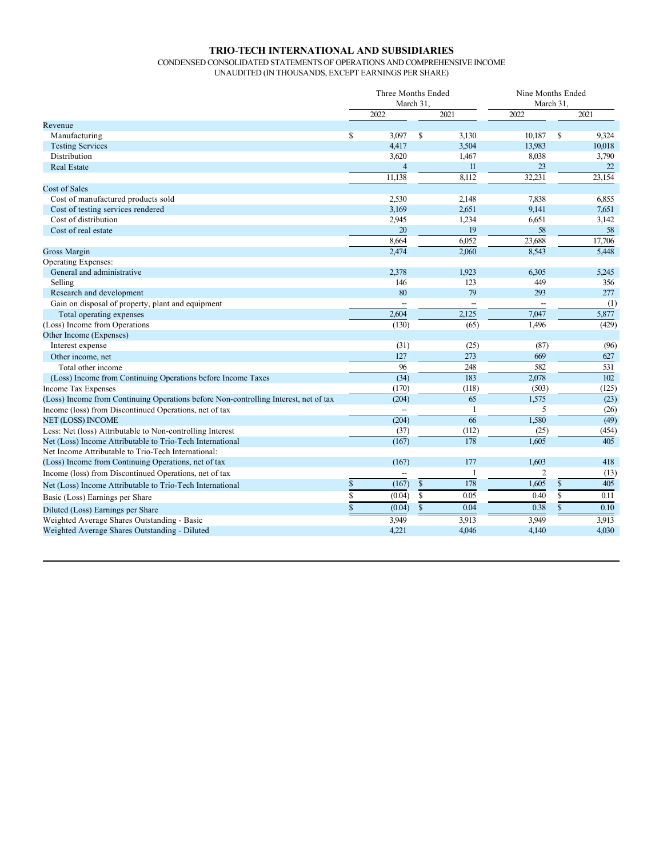# **TRIO**‑**TECH INTERNATIONAL AND SUBSIDIARIES**

# CONDENSED CONSOLIDATED STATEMENTS OF OPERATIONS AND COMPREHENSIVE INCOME

UNAUDITED (IN THOUSANDS, EXCEPT EARNINGS PER SHARE)

|                                                                                      | Three Months Ended<br>March 31. |                          |              | Nine Months Ended<br>March 31, |                 |              |                  |
|--------------------------------------------------------------------------------------|---------------------------------|--------------------------|--------------|--------------------------------|-----------------|--------------|------------------|
|                                                                                      |                                 | 2022                     |              | 2021                           | 2022            |              | 2021             |
| Revenue                                                                              |                                 |                          |              |                                |                 |              |                  |
| Manufacturing                                                                        | \$                              | 3.097                    | S.           | 3,130                          | 10.187          | \$           | 9.324            |
| <b>Testing Services</b>                                                              |                                 | 4,417                    |              | 3,504                          | 13,983          |              | 10,018           |
| Distribution                                                                         |                                 | 3,620                    |              | 1,467                          | 8,038           |              | 3,790            |
| <b>Real Estate</b>                                                                   |                                 | $\overline{4}$           |              | 11                             | 23              |              | 22               |
|                                                                                      |                                 | 11,138                   |              | 8,112                          | 32,231          |              | 23,154           |
| Cost of Sales                                                                        |                                 |                          |              |                                |                 |              |                  |
| Cost of manufactured products sold                                                   |                                 | 2,530                    |              | 2,148                          | 7,838           |              | 6,855            |
| Cost of testing services rendered                                                    |                                 | 3,169                    |              | 2,651                          | 9,141           |              | 7,651            |
| Cost of distribution                                                                 |                                 | 2,945                    |              | 1,234                          | 6,651           |              | 3,142            |
| Cost of real estate                                                                  |                                 | 20                       |              | 19<br>6.052                    | 58              |              | 58               |
|                                                                                      |                                 | 8,664<br>2.474           |              | 2.060                          | 23,688<br>8.543 |              | 17,706           |
| <b>Gross Margin</b>                                                                  |                                 |                          |              |                                |                 |              | 5,448            |
| <b>Operating Expenses:</b>                                                           |                                 |                          |              |                                |                 |              |                  |
| General and administrative                                                           |                                 | 2,378<br>146             |              | 1,923<br>123                   | 6,305<br>449    |              | 5,245<br>356     |
| Selling                                                                              |                                 |                          |              |                                |                 |              |                  |
| Research and development                                                             |                                 | 80                       |              | 79                             | 293             |              | 277              |
| Gain on disposal of property, plant and equipment                                    |                                 | 2,604                    |              | 2.125                          | 7,047           |              | (1)<br>5,877     |
| Total operating expenses                                                             |                                 |                          |              |                                |                 |              |                  |
| (Loss) Income from Operations                                                        |                                 | (130)                    |              | (65)                           | 1,496           |              | (429)            |
| Other Income (Expenses)                                                              |                                 |                          |              |                                |                 |              |                  |
| Interest expense                                                                     |                                 | (31)                     |              | (25)                           | (87)            |              | (96)             |
| Other income, net                                                                    |                                 | 127                      |              | 273                            | 669             |              | 627              |
| Total other income                                                                   |                                 | 96                       |              | 248                            | 582             |              | $\overline{531}$ |
| (Loss) Income from Continuing Operations before Income Taxes                         |                                 | $\overline{(34)}$        |              | 183                            | 2,078           |              | $\overline{102}$ |
| <b>Income Tax Expenses</b>                                                           |                                 | (170)                    |              | (118)                          | (503)           |              | (125)            |
| (Loss) Income from Continuing Operations before Non-controlling Interest, net of tax |                                 | (204)                    |              | 65                             | 1.575           |              | (23)             |
| Income (loss) from Discontinued Operations, net of tax                               |                                 | $\overline{\phantom{a}}$ |              | $\mathbf{1}$                   | 5               |              | (26)             |
| <b>NET (LOSS) INCOME</b>                                                             |                                 | (204)                    |              | 66                             | 1.580           |              | (49)             |
| Less: Net (loss) Attributable to Non-controlling Interest                            |                                 | (37)                     |              | (112)                          | (25)            |              | (454)            |
| Net (Loss) Income Attributable to Trio-Tech International                            |                                 | (167)                    |              | 178                            | 1.605           |              | 405              |
| Net Income Attributable to Trio-Tech International:                                  |                                 |                          |              |                                |                 |              |                  |
| (Loss) Income from Continuing Operations, net of tax                                 |                                 | (167)                    |              | 177                            | 1,603           |              | 418              |
| Income (loss) from Discontinued Operations, net of tax                               |                                 | Ξ.                       |              |                                | $\overline{c}$  |              | (13)             |
| Net (Loss) Income Attributable to Trio-Tech International                            | $\$$                            | (167)                    | $\mathbb S$  | 178                            | 1,605           | \$           | 405              |
| Basic (Loss) Earnings per Share                                                      | \$                              | (0.04)                   | \$           | 0.05                           | 0.40            | \$           | 0.11             |
| Diluted (Loss) Earnings per Share                                                    | $\mathsf{\$}$                   | (0.04)                   | $\mathbb{S}$ | 0.04                           | 0.38            | $\mathbb{S}$ | 0.10             |
| Weighted Average Shares Outstanding - Basic                                          |                                 | 3,949                    |              | 3,913                          | 3,949           |              | 3,913            |
| Weighted Average Shares Outstanding - Diluted                                        |                                 | 4,221                    |              | 4,046                          | 4,140           |              | 4,030            |
|                                                                                      |                                 |                          |              |                                |                 |              |                  |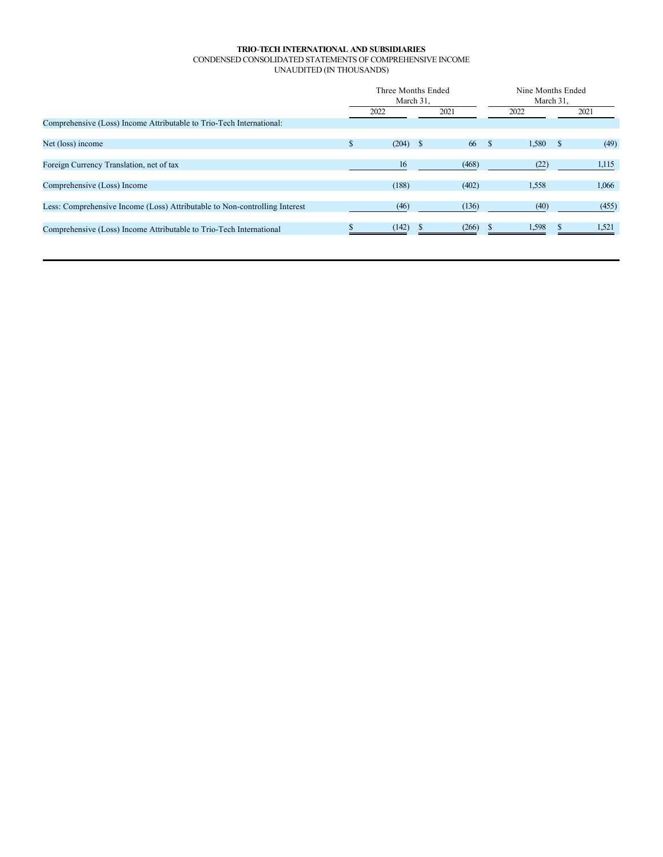## **TRIO**‑**TECH INTERNATIONAL AND SUBSIDIARIES** CONDENSED CONSOLIDATED STATEMENTS OF COMPREHENSIVE INCOME UNAUDITED (IN THOUSANDS)

|                                                                            | Three Months Ended<br>March 31, |              |    |       |    | Nine Months Ended<br>March 31, |      |       |  |  |
|----------------------------------------------------------------------------|---------------------------------|--------------|----|-------|----|--------------------------------|------|-------|--|--|
|                                                                            |                                 | 2022<br>2021 |    | 2022  |    |                                | 2021 |       |  |  |
| Comprehensive (Loss) Income Attributable to Trio-Tech International:       |                                 |              |    |       |    |                                |      |       |  |  |
|                                                                            |                                 |              |    |       |    |                                |      |       |  |  |
| Net (loss) income                                                          | S.                              | $(204)$ \$   |    | 66 \$ |    | 1,580                          | S.   | (49)  |  |  |
|                                                                            |                                 |              |    |       |    |                                |      |       |  |  |
| Foreign Currency Translation, net of tax                                   |                                 | 16           |    | (468) |    | (22)                           |      | 1,115 |  |  |
|                                                                            |                                 |              |    |       |    |                                |      |       |  |  |
| Comprehensive (Loss) Income                                                |                                 | (188)        |    | (402) |    | 1,558                          |      | 1,066 |  |  |
|                                                                            |                                 |              |    |       |    |                                |      |       |  |  |
| Less: Comprehensive Income (Loss) Attributable to Non-controlling Interest |                                 | (46)         |    | (136) |    | (40)                           |      | (455) |  |  |
|                                                                            |                                 |              |    |       |    |                                |      |       |  |  |
| Comprehensive (Loss) Income Attributable to Trio-Tech International        |                                 | (142)        | -S | (266) | -S | 1.598                          |      | 1,521 |  |  |
|                                                                            |                                 |              |    |       |    |                                |      |       |  |  |